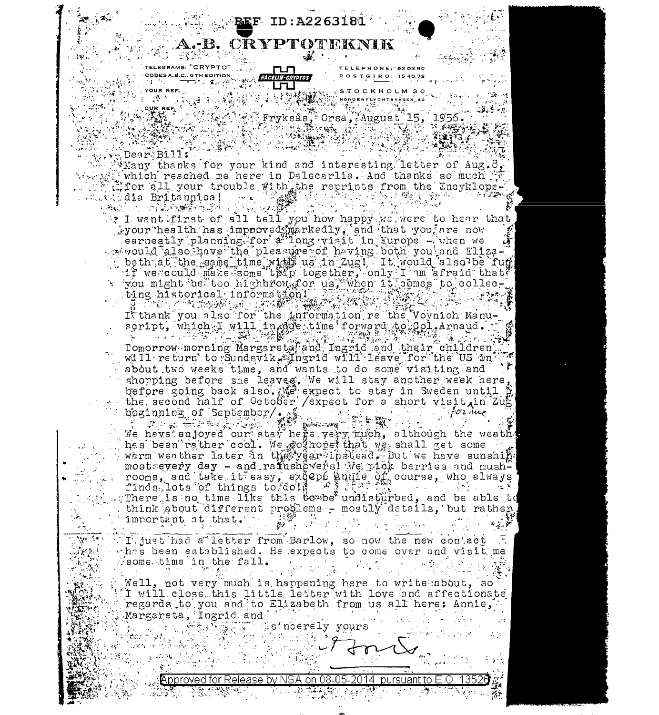

EDITOR PORTAL STOCKHOLMS OF THE PROPERTY OF THE PROPERTY OF THE PROPERTY OF THE PROPERTY OF THE PROPERTY OF THE PROPERTY OF THE PROPERTY OF THE PROPERTY OF THE PROPERTY OF THE PROPERTY OF THE PROPERTY OF THE PROPERTY OF TH 

## $\sqrt{3.5}$ Dear $^{\circ}$ Bill:

 $\omega_{\rm{max}}$  .

 $\mathbb{R}^2$  $\alpha$  and  $\alpha$  are  $\beta$  . And

يغرب

 $\Delta\phi=0.2$ 

Santan<br>Santa Mana

 $\sim 2\pi\lambda$ 

فالمتباريكم

 $\hat{\rho} = \hat{\rho} \hat{\sigma}_1$ 

Martin Mario (1984)<br>William Martin (1984)<br>William School

e e statistiko (h. 1982).<br>1901 - Angel Alexander (h. 1902).

受害 非議論 1

 $\mathbb{R}$  . Whany thanks for your kind and interesting letter of Aug.  $\theta_{\text{g}}$ why which reached me here in Dalecarlia. And thanks so much  $\frac{1}{2}$ write which reached me here in Firewards. The reprints from the Encyklope-اليم بالمتعدد والمستقبل المستقبل

I want first of all tell you how happy we were to hear that<br>your health has improved markedly, and that you are now earnestly planning for a ilong visit in Europe - when we wavould also have the pleasure of having both you and Elizabeth at the same the pressure of having both you had thing-<br>beth at the same time wide us in Zugl. It would also be fund<br>if we could make some thin together, only I am afraid that<br>you might be too highbrows or us, when it

en and the state of the state of the state of the state of the control of the control of the control of the control of the control of the control of the control of the control of the control of the control of the control o about two weeks time, and wants to do some visiting and

shopping before she leaves. We will stay another week here, before going back also. We expect to stay in Sweden until \$

beginning of September/  $\frac{1}{2}$  and  $\frac{1}{2}$  for the set of  $\frac{1}{2}$  . has been rather cool. We go none that we shall get some warm wenther later in the year instead. But we have sunshine most every day - and rathshowers! We pick berries and mush-There is no time like this to be undisturbed, and be able to think about different problems - mostly details, but rather important at that. Waliofariki (  $\beta \in \mathcal{G}(\mathcal{G})$ أخرجي

I' just had a letter from Barlow, so now the new contact whas been established. He expects to come over and visit me  $\sim$  some time in the fall.

Well, not very much is happening here to write about, so In will close this little letter with love and affectionate regards to you and to Elizabeth from us all here: Annie, Margareta, Ingrid and Williams yours

 $\mathcal{L}^{\mathcal{A}}$  .

Approved for Release by NSA on 08-05-2014 pursuant to E.O. 13526 毁 2012年4月4日 1月1日

 $\forall n \in \mathbb{C}$